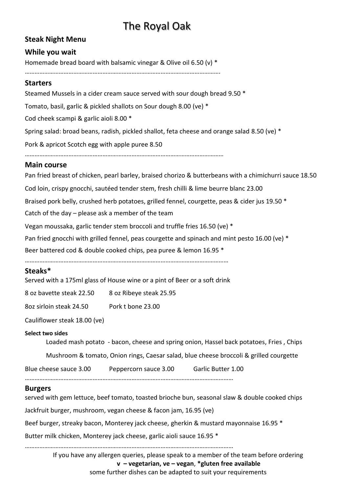# The Royal Oak

## **Steak Night Menu**

## **While you wait**

Homemade bread board with balsamic vinegar & Olive oil 6.50 (v) \*

………………………………………………………………………………………………………….

## **Starters**

Steamed Mussels in a cider cream sauce served with sour dough bread 9.50 \* Tomato, basil, garlic & pickled shallots on Sour dough 8.00 (ve) \* Cod cheek scampi & garlic aioli 8.00 \* Spring salad: broad beans, radish, pickled shallot, feta cheese and orange salad 8.50 (ve) \* Pork & apricot Scotch egg with apple puree 8.50 …………………………………………………………………………………………………………… **Main course** Pan fried breast of chicken, pearl barley, braised chorizo & butterbeans with a chimichurri sauce 18.50 Cod loin, crispy gnocchi, sautéed tender stem, fresh chilli & lime beurre blanc 23.00 Braised pork belly, crushed herb potatoes, grilled fennel, courgette, peas & cider jus 19.50 \* Catch of the day – please ask a member of the team Vegan moussaka, garlic tender stem broccoli and truffle fries 16.50 (ve) \* Pan fried gnocchi with grilled fennel, peas courgette and spinach and mint pesto 16.00 (ve) \* Beer battered cod & double cooked chips, pea puree & lemon 16.95 \*

………………………………………………………………………………………………………………

## **Steaks\***

Served with a 175ml glass of House wine or a pint of Beer or a soft drink

8 oz bavette steak 22.50 8 oz Ribeye steak 25.95

8oz sirloin steak 24.50 Pork t bone 23.00

Cauliflower steak 18.00 (ve)

### **Select two sides**

Loaded mash potato - bacon, cheese and spring onion, Hassel back potatoes, Fries , Chips

Mushroom & tomato, Onion rings, Caesar salad, blue cheese broccoli & grilled courgette

Blue cheese sauce 3.00 Peppercorn sauce 3.00 Garlic Butter 1.00

#### …………………………………………………………………………………………………………………

### **Burgers**

served with gem lettuce, beef tomato, toasted brioche bun, seasonal slaw & double cooked chips Jackfruit burger, mushroom, vegan cheese & facon jam, 16.95 (ve) Beef burger, streaky bacon, Monterey jack cheese, gherkin & mustard mayonnaise 16.95 \* Butter milk chicken, Monterey jack cheese, garlic aioli sauce 16.95 \*

…………………………………………………………………………………………………………………

If you have any allergen queries, please speak to a member of the team before ordering **v – vegetarian, ve – vegan**, **\*gluten free available**

some further dishes can be adapted to suit your requirements